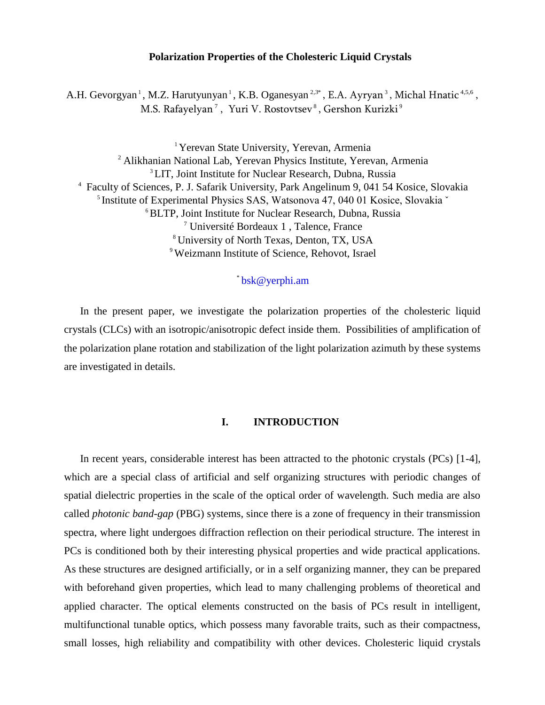## **Polarization Properties of the Cholesteric Liquid Crystals**

A.H. Gevorgyan<sup>1</sup>, M.Z. Harutyunyan<sup>1</sup>, K.B. Oganesyan<sup>2,3\*</sup>, E.A. Ayryan<sup>3</sup>, Michal Hnatic<sup>4,5,6</sup>, M.S. Rafayelyan  $^7$  , Yuri V. Rostovtsev  $^8$  , Gershon Kurizki  $^9$ 

<sup>1</sup> Yerevan State University, Yerevan, Armenia <sup>2</sup> Alikhanian National Lab, Yerevan Physics Institute, Yerevan, Armenia <sup>3</sup> LIT, Joint Institute for Nuclear Research, Dubna, Russia 4 Faculty of Sciences, P. J. Safarik University, Park Angelinum 9, 041 54 Kosice, Slovakia <sup>5</sup> Institute of Experimental Physics SAS, Watsonova 47, 040 01 Kosice, Slovakia ~ 6 BLTP, Joint Institute for Nuclear Research, Dubna, Russia 7 [Université Bordeaux 1](https://www.researchgate.net/institution/Universite_Bordeaux_1) , Talence, France 8 University of North Texas, Denton, TX, USA 9 Weizmann Institute of Science, Rehovot, Israel

# \* [bsk@yerphi.am](mailto:bsk@yerphi.am)

In the present paper, we investigate the polarization properties of the cholesteric liquid crystals (CLCs) with an isotropic/anisotropic defect inside them. Possibilities of amplification of the polarization plane rotation and stabilization of the light polarization azimuth by these systems are investigated in details.

# **I. INTRODUCTION**

In recent years, considerable interest has been attracted to the photonic crystals (PCs) [1-4], which are a special class of artificial and self organizing structures with periodic changes of spatial dielectric properties in the scale of the optical order of wavelength. Such media are also called *photonic band-gap* (PBG) systems, since there is a zone of frequency in their transmission spectra, where light undergoes diffraction reflection on their periodical structure. The interest in PCs is conditioned both by their interesting physical properties and wide practical applications. As these structures are designed artificially, or in a self organizing manner, they can be prepared with beforehand given properties, which lead to many challenging problems of theoretical and applied character. The optical elements constructed on the basis of PCs result in intelligent, multifunctional tunable optics, which possess many favorable traits, such as their compactness, small losses, high reliability and compatibility with other devices. Cholesteric liquid crystals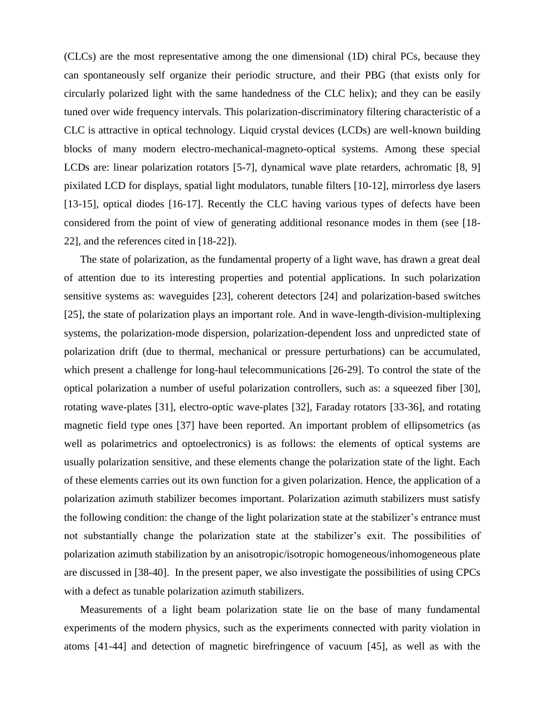(CLCs) are the most representative among the one dimensional (1D) chiral PCs, because they can spontaneously self organize their periodic structure, and their PBG (that exists only for circularly polarized light with the same handedness of the CLC helix); and they can be easily tuned over wide frequency intervals. This polarization-discriminatory filtering characteristic of a CLC is attractive in optical technology. Liquid crystal devices (LCDs) are well-known building blocks of many modern electro-mechanical-magneto-optical systems. Among these special LCDs are: linear polarization rotators [5-7], dynamical wave plate retarders, achromatic [8, 9] pixilated LCD for displays, spatial light modulators, tunable filters [10-12], mirrorless dye lasers [13-15], optical diodes [16-17]. Recently the CLC having various types of defects have been considered from the point of view of generating additional resonance modes in them (see [18- 22], and the references cited in [18-22]).

The state of polarization, as the fundamental property of a light wave, has drawn a great deal of attention due to its interesting properties and potential applications. In such polarization sensitive systems as: waveguides [23], coherent detectors [24] and polarization-based switches [25], the state of polarization plays an important role. And in wave-length-division-multiplexing systems, the polarization-mode dispersion, polarization-dependent loss and unpredicted state of polarization drift (due to thermal, mechanical or pressure perturbations) can be accumulated, which present a challenge for long-haul telecommunications [26-29]. To control the state of the optical polarization a number of useful polarization controllers, such as: a squeezed fiber [30], rotating wave-plates [31], electro-optic wave-plates [32], Faraday rotators [33-36], and rotating magnetic field type ones [37] have been reported. An important problem of ellipsometrics (as well as polarimetrics and optoelectronics) is as follows: the elements of optical systems are usually polarization sensitive, and these elements change the polarization state of the light. Each of these elements carries out its own function for a given polarization. Hence, the application of a polarization azimuth stabilizer becomes important. Polarization azimuth stabilizers must satisfy the following condition: the change of the light polarization state at the stabilizer's entrance must not substantially change the polarization state at the stabilizer's exit. The possibilities of polarization azimuth stabilization by an anisotropic/isotropic homogeneous/inhomogeneous plate are discussed in [38-40]. In the present paper, we also investigate the possibilities of using CPCs with a defect as tunable polarization azimuth stabilizers.

Measurements of a light beam polarization state lie on the base of many fundamental experiments of the modern physics, such as the experiments connected with parity violation in atoms [41-44] and detection of magnetic birefringence of vacuum [45], as well as with the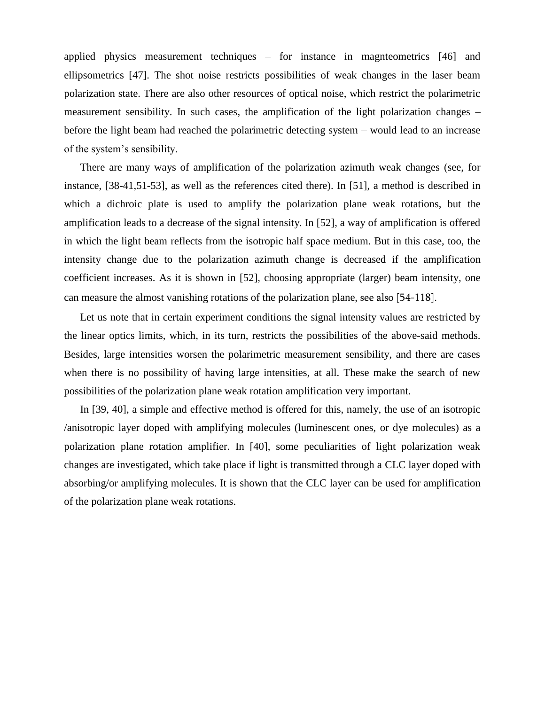applied physics measurement techniques – for instance in magnteometrics [46] and ellipsometrics [47]. The shot noise restricts possibilities of weak changes in the laser beam polarization state. There are also other resources of optical noise, which restrict the polarimetric measurement sensibility. In such cases, the amplification of the light polarization changes – before the light beam had reached the polarimetric detecting system – would lead to an increase of the system's sensibility.

There are many ways of amplification of the polarization azimuth weak changes (see, for instance, [38-41,51-53], as well as the references cited there). In [51], a method is described in which a dichroic plate is used to amplify the polarization plane weak rotations, but the amplification leads to a decrease of the signal intensity. In [52], a way of amplification is offered in which the light beam reflects from the isotropic half space medium. But in this case, too, the intensity change due to the polarization azimuth change is decreased if the amplification coefficient increases. As it is shown in [52], choosing appropriate (larger) beam intensity, one can measure the almost vanishing rotations of the polarization plane, see also [54-118].

Let us note that in certain experiment conditions the signal intensity values are restricted by the linear optics limits, which, in its turn, restricts the possibilities of the above-said methods. Besides, large intensities worsen the polarimetric measurement sensibility, and there are cases when there is no possibility of having large intensities, at all. These make the search of new possibilities of the polarization plane weak rotation amplification very important.

In [39, 40], a simple and effective method is offered for this, namely, the use of an isotropic /anisotropic layer doped with amplifying molecules (luminescent ones, or dye molecules) as a polarization plane rotation amplifier. In [40], some peculiarities of light polarization weak changes are investigated, which take place if light is transmitted through a CLC layer doped with absorbing/or amplifying molecules. It is shown that the CLC layer can be used for amplification of the polarization plane weak rotations.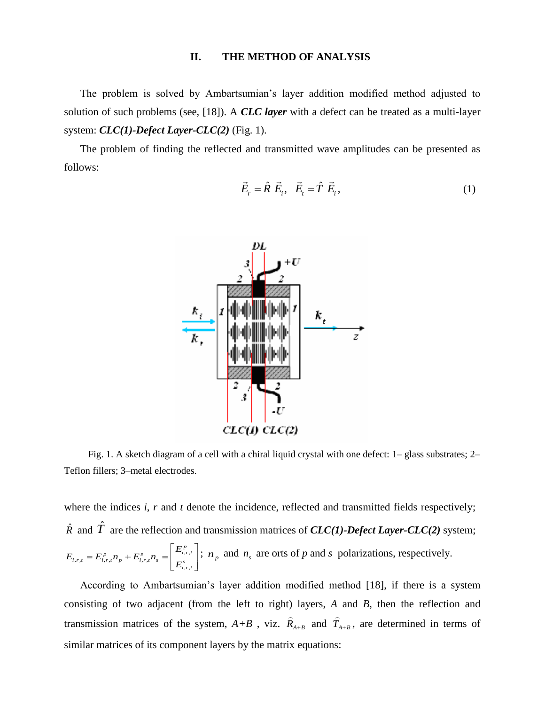#### **II. THE METHOD OF ANALYSIS**

The problem is solved by Ambartsumian's layer addition modified method adjusted to solution of such problems (see, [18]). A *CLC layer* with a defect can be treated as a multi-layer system: *CLC(1)-Defect Layer-CLC(2)* (Fig. 1).

The problem of finding the reflected and transmitted wave amplitudes can be presented as follows:

$$
\vec{E}_r = \hat{R} \ \vec{E}_i, \quad \vec{E}_t = \hat{T} \ \vec{E}_i,
$$
\n(1)



Fig. 1. A sketch diagram of a cell with a chiral liquid crystal with one defect: 1– glass substrates; 2– Teflon fillers; 3–metal electrodes.

where the indices *i*, *r* and *t* denote the incidence, reflected and transmitted fields respectively;  $\hat{R}$  and  $\hat{T}$  are the reflection and transmission matrices of *CLC(1)-Defect Layer-CLC(2)* system; p<br>,r,  $_{r,t} = E_{i,r,t}^p n_p + E_{i,r,t}^s$ s<br>, r ,  $p'_{i,r,t} = E^{\,p}_{i,r,t} n_{p} + E^{\,s}_{i,r,t} n_{s} = \begin{bmatrix} E^{\,p}_{i,r,t} \ E^{\,s}_{i,r,t} \end{bmatrix}$  $E_{i,r,t} = E_{i,r,t}^{\scriptscriptstyle P} n_{\scriptscriptstyle P} + E_{i,r,t}^{\scriptscriptstyle S} n_{\scriptscriptstyle S} = \begin{bmatrix} E \ E \end{bmatrix}$  $\left[E^{p}_{i,r,t}\right]$ .  $=E_{i,r,t}^p n_p + E_{i,r,t}^s n_s = \left[ \frac{E_{i,r,t}^p}{F_s^s} \right]; n_t$  $\begin{bmatrix} E_{i,r,t}^s \\ E_{i,r,t}^s \end{bmatrix}$ ;  $n_p$  and  $n_s$  are orts of *p* and *s* polarizations, respectively.

According to Ambartsumian's layer addition modified method [18], if there is a system consisting of two adjacent (from the left to right) layers, *A* and *B,* then the reflection and transmission matrices of the system,  $A+B$ , viz.  $\hat{R}_{A+B}$  $\overline{a}$ and  $\hat{T}_{A+B}$  $\overline{a}$ , are determined in terms of similar matrices of its component layers by the matrix equations: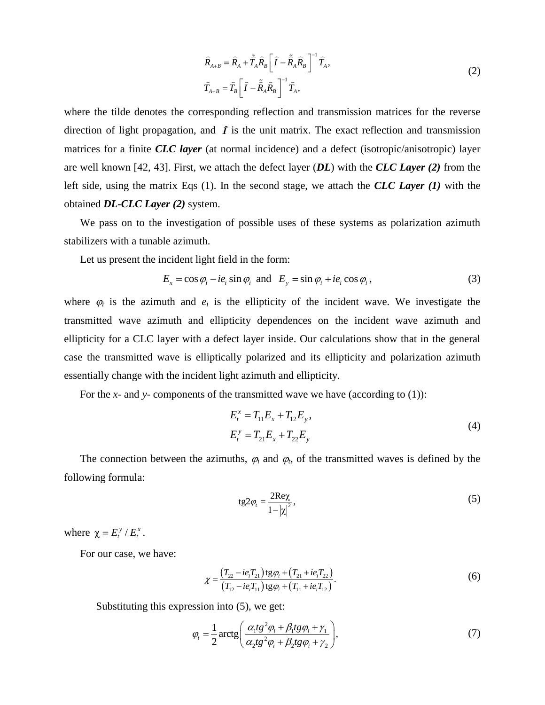$$
\widehat{R}_{A+B} = \widehat{R}_A + \widetilde{\tilde{T}}_A \widehat{R}_B \left[ \widehat{I} - \widetilde{\tilde{R}}_A \widehat{R}_B \right]^{-1} \widehat{T}_A, \n\widehat{T}_{A+B} = \widehat{T}_B \left[ \widehat{I} - \widetilde{\tilde{R}}_A \widehat{R}_B \right]^{-1} \widehat{T}_A,
$$
\n(2)

where the tilde denotes the corresponding reflection and transmission matrices for the reverse direction of light propagation, and  $\hat{I}$  is the unit matrix. The exact reflection and transmission matrices for a finite *CLC layer* (at normal incidence) and a defect (isotropic/anisotropic) layer are well known [42, 43]. First, we attach the defect layer (*DL*) with the *CLC Layer (2)* from the left side, using the matrix Eqs (1). In the second stage, we attach the *CLC Layer (1)* with the obtained *DL-CLC Layer (2)* system.

We pass on to the investigation of possible uses of these systems as polarization azimuth stabilizers with a tunable azimuth.

Let us present the incident light field in the form:

$$
E_x = \cos \varphi_i - ie_i \sin \varphi_i \text{ and } E_y = \sin \varphi_i + ie_i \cos \varphi_i, \qquad (3)
$$

where  $\varphi_i$  is the azimuth and  $e_i$  is the ellipticity of the incident wave. We investigate the transmitted wave azimuth and ellipticity dependences on the incident wave azimuth and ellipticity for a CLC layer with a defect layer inside. Our calculations show that in the general case the transmitted wave is elliptically polarized and its ellipticity and polarization azimuth essentially change with the incident light azimuth and ellipticity.

For the *x*- and *y*- components of the transmitted wave we have (according to (1)):

$$
E_t^x = T_{11} E_x + T_{12} E_y,
$$
  
\n
$$
E_t^y = T_{21} E_x + T_{22} E_y
$$
\n(4)

The connection between the azimuths,  $\varphi_i$  and  $\varphi_t$ , of the transmitted waves is defined by the following formula:

$$
tg2\varphi_t = \frac{2\text{Re}\chi}{1 - |\chi|^2},\tag{5}
$$

where  $\chi = E_t^y / E_t^x$ .

For our case, we have:

$$
\chi = \frac{(T_{22} - ie_i T_{21}) \text{tg} \varphi_i + (T_{21} + ie_i T_{22})}{(T_{12} - ie_i T_{11}) \text{tg} \varphi_i + (T_{11} + ie_i T_{12})}.
$$
(6)

Substituting this expression into (5), we get:

$$
\varphi_t = \frac{1}{2} \arctg \left( \frac{\alpha_1 t g^2 \varphi_i + \beta_1 t g \varphi_i + \gamma_1}{\alpha_2 t g^2 \varphi_i + \beta_2 t g \varphi_i + \gamma_2} \right),\tag{7}
$$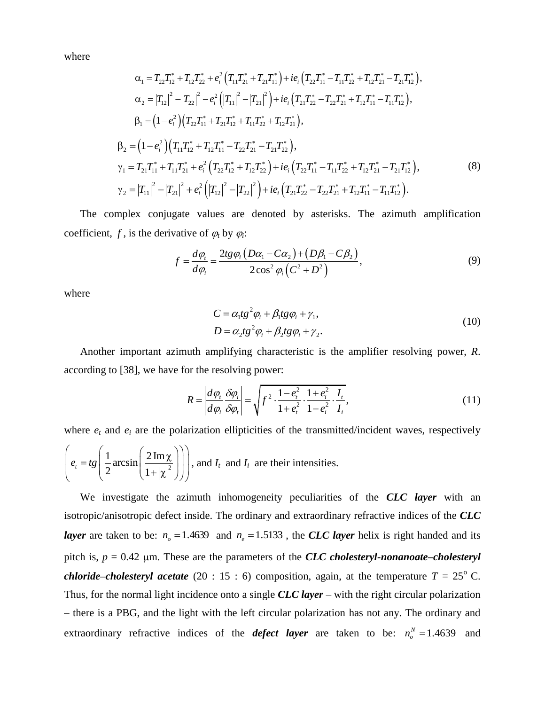where

$$
\alpha_{1} = T_{22}T_{12}^{*} + T_{12}T_{22}^{*} + e_{i}^{2} (T_{11}T_{21}^{*} + T_{21}T_{11}^{*}) + ie_{i} (T_{22}T_{11}^{*} - T_{11}T_{22}^{*} + T_{12}T_{21}^{*} - T_{21}T_{12}^{*}),
$$
\n
$$
\alpha_{2} = |T_{12}|^{2} - |T_{22}|^{2} - e_{i}^{2} (|T_{11}|^{2} - |T_{21}|^{2}) + ie_{i} (T_{21}T_{22}^{*} - T_{22}T_{21}^{*} + T_{12}T_{11}^{*} - T_{11}T_{12}^{*}),
$$
\n
$$
\beta_{1} = (1 - e_{i}^{2}) (T_{22}T_{11}^{*} + T_{21}T_{12}^{*} + T_{11}T_{22}^{*} + T_{12}T_{21}^{*}),
$$
\n
$$
\beta_{2} = (1 - e_{i}^{2}) (T_{11}T_{12}^{*} + T_{12}T_{11}^{*} - T_{22}T_{21}^{*} - T_{21}T_{22}^{*}),
$$
\n
$$
\gamma_{1} = T_{21}T_{11}^{*} + T_{11}T_{21}^{*} + e_{i}^{2} (T_{22}T_{12}^{*} + T_{12}T_{22}^{*}) + ie_{i} (T_{22}T_{11}^{*} - T_{11}T_{22}^{*} + T_{12}T_{21}^{*} - T_{21}T_{12}^{*}),
$$
\n
$$
\gamma_{2} = |T_{11}|^{2} - |T_{21}|^{2} + e_{i}^{2} (|T_{12}|^{2} - |T_{22}|^{2}) + ie_{i} (T_{21}T_{22}^{*} - T_{22}T_{21}^{*} + T_{12}T_{11}^{*} - T_{11}T_{12}^{*}).
$$
\n(8)

The complex conjugate values are denoted by asterisks. The azimuth amplification coefficient,  $f$ , is the derivative of  $\varphi_t$  by  $\varphi_t$ :

$$
\text{value of } \varphi_t \text{ by } \varphi_i:
$$
\n
$$
f = \frac{d\varphi_t}{d\varphi_i} = \frac{2tg\varphi_i \left( D\alpha_1 - C\alpha_2 \right) + \left( D\beta_1 - C\beta_2 \right)}{2\cos^2\varphi_i \left( C^2 + D^2 \right)},\tag{9}
$$

where

$$
C = \alpha_1 t g^2 \varphi_i + \beta_1 t g \varphi_i + \gamma_1,
$$
  
\n
$$
D = \alpha_2 t g^2 \varphi_i + \beta_2 t g \varphi_i + \gamma_2.
$$
\n(10)

Another important azimuth amplifying characteristic is the amplifier resolving power, *R*. according to [38], we have for the resolving power:

$$
R = \left| \frac{d\varphi_t}{d\varphi_i} \frac{\delta \varphi_i}{\delta \varphi_t} \right| = \sqrt{f^2 \cdot \frac{1 - e_t^2}{1 + e_t^2} \cdot \frac{1 + e_i^2}{1 - e_i^2} \cdot \frac{I_t}{I_i}},\tag{11}
$$

where  $e_t$  and  $e_i$  are the polarization ellipticities of the transmitted/incident waves, respectively  $rac{1}{2}$  arcsin  $\left(\frac{2 \operatorname{Im} \chi}{1+\frac{1}{2}}\right)$  $e_t = tg \left( \frac{1}{2} \arcsin \left( \frac{2}{1} \right) \right)$  $\left( \begin{array}{cc} 1 & . & (2 \text{Im} \chi) \end{array} \right)$  $\left(e_t = tg \left(\frac{1}{2}\arcsin\left(\frac{2 \operatorname{Im} \chi}{1+|\chi|^2}\right)\right)\right)$ , an , and  $I_t$  and  $I_i$  are their intensities.

We investigate the azimuth inhomogeneity peculiarities of the *CLC layer* with an isotropic/anisotropic defect inside. The ordinary and extraordinary refractive indices of the *CLC layer* are taken to be:  $n_o = 1.4639$  and  $n_e = 1.5133$ , the *CLC layer* helix is right handed and its pitch is,  $p = 0.42$  µm. These are the parameters of the *CLC cholesteryl-nonanoate–cholesteryl chloride–cholesteryl acetate* (20 : 15 : 6) composition, again, at the temperature  $T = 25^{\circ}$  C. Thus, for the normal light incidence onto a single *CLC layer* – with the right circular polarization – there is a PBG, and the light with the left circular polarization has not any. The ordinary and extraordinary refractive indices of the *defect layer* are taken to be:  $n_o^N = 1.4639$  and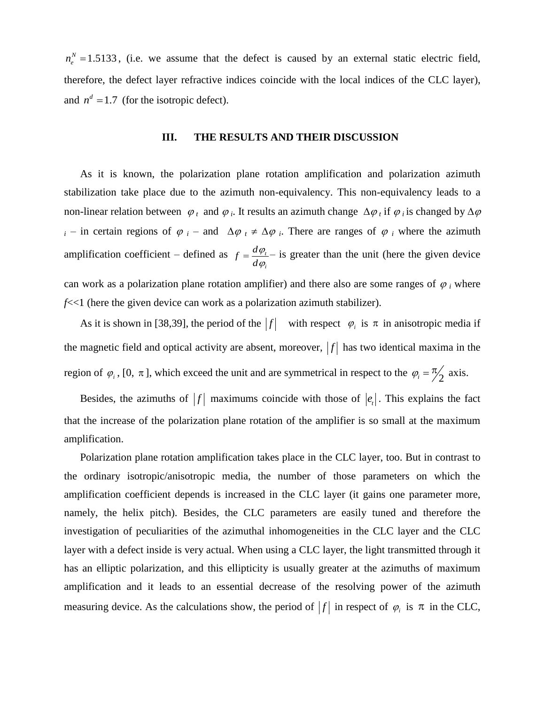$n_e^N = 1.5133$ , (i.e. we assume that the defect is caused by an external static electric field, therefore, the defect layer refractive indices coincide with the local indices of the CLC layer), and  $n^d = 1.7$  (for the isotropic defect).

# **III. THE RESULTS AND THEIR DISCUSSION**

As it is known, the polarization plane rotation amplification and polarization azimuth stabilization take place due to the azimuth non-equivalency. This non-equivalency leads to a non-linear relation between  $\varphi_t$  and  $\varphi_i$ . It results an azimuth change  $\Delta\varphi_t$  if  $\varphi_i$  is changed by  $\Delta\varphi$  $i -$  in certain regions of  $\varphi$  *i* – and  $\Delta \varphi$   $\neq \Delta \varphi$  *i*. There are ranges of  $\varphi$  *i* where the azimuth amplification coefficient – defined as  $f = \frac{d\varphi_t}{dt}$ *i*  $f = \frac{d}{f}$ *d*  $\varphi$  $\varphi$  $=\frac{d\varphi_t}{dt}$  is greater than the unit (here the given device

can work as a polarization plane rotation amplifier) and there also are some ranges of  $\varphi_i$  where *f*<<1 (here the given device can work as a polarization azimuth stabilizer).

As it is shown in [38,39], the period of the  $|f|$  with respect  $\varphi_i$  is  $\pi$  in anisotropic media if the magnetic field and optical activity are absent, moreover,  $|f|$  has two identical maxima in the region of  $\varphi_i$ , [0,  $\pi$ ], which exceed the unit and are symmetrical in respect to the  $\varphi_i = \frac{\pi}{2}$  axis.

Besides, the azimuths of  $|f|$  maximums coincide with those of  $|e|$ . This explains the fact that the increase of the polarization plane rotation of the amplifier is so small at the maximum amplification.

Polarization plane rotation amplification takes place in the CLC layer, too. But in contrast to the ordinary isotropic/anisotropic media, the number of those parameters on which the amplification coefficient depends is increased in the CLC layer (it gains one parameter more, namely, the helix pitch). Besides, the CLC parameters are easily tuned and therefore the investigation of peculiarities of the azimuthal inhomogeneities in the CLC layer and the CLC layer with a defect inside is very actual. When using a CLC layer, the light transmitted through it has an elliptic polarization, and this ellipticity is usually greater at the azimuths of maximum amplification and it leads to an essential decrease of the resolving power of the azimuth measuring device. As the calculations show, the period of  $|f|$  in respect of  $\varphi_i$  is  $\pi$  in the CLC,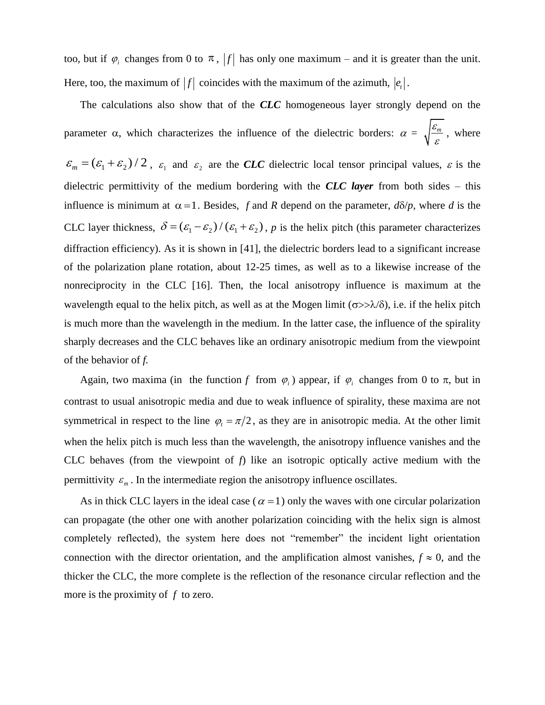too, but if  $\varphi_i$  changes from 0 to  $\pi$ ,  $|f|$  has only one maximum – and it is greater than the unit. Here, too, the maximum of  $|f|$  coincides with the maximum of the azimuth,  $|e_t|$ .

The calculations also show that of the *CLC* homogeneous layer strongly depend on the parameter  $\alpha$ , which characterizes the influence of the dielectric borders:  $\alpha = \sqrt{\frac{\varepsilon_m}{m}}$  $\frac{\zeta_m}{\varepsilon}$ , where

 $\varepsilon_m = (\varepsilon_1 + \varepsilon_2)/2$ ,  $\varepsilon_1$  and  $\varepsilon_2$  are the *CLC* dielectric local tensor principal values,  $\varepsilon$  is the dielectric permittivity of the medium bordering with the *CLC layer* from both sides – this influence is minimum at  $\alpha = 1$ . Besides, f and R depend on the parameter,  $d\delta/p$ , where d is the CLC layer thickness,  $\delta = (\varepsilon_1 - \varepsilon_2) / (\varepsilon_1 + \varepsilon_2)$ , *p* is the helix pitch (this parameter characterizes diffraction efficiency). As it is shown in [41], the dielectric borders lead to a significant increase of the polarization plane rotation, about 12-25 times, as well as to a likewise increase of the nonreciprocity in the CLC [16]. Then, the local anisotropy influence is maximum at the wavelength equal to the helix pitch, as well as at the Mogen limit ( $\sigma$ > $\lambda$ / $\delta$ ), i.e. if the helix pitch is much more than the wavelength in the medium. In the latter case, the influence of the spirality sharply decreases and the CLC behaves like an ordinary anisotropic medium from the viewpoint of the behavior of *f.*

Again, two maxima (in the function f from  $\varphi_i$ ) appear, if  $\varphi_i$  changes from 0 to  $\pi$ , but in contrast to usual anisotropic media and due to weak influence of spirality, these maxima are not symmetrical in respect to the line  $\varphi_t = \pi/2$ , as they are in anisotropic media. At the other limit when the helix pitch is much less than the wavelength, the anisotropy influence vanishes and the CLC behaves (from the viewpoint of *f*) like an isotropic optically active medium with the permittivity  $\varepsilon_m$ . In the intermediate region the anisotropy influence oscillates.

As in thick CLC layers in the ideal case ( $\alpha = 1$ ) only the waves with one circular polarization can propagate (the other one with another polarization coinciding with the helix sign is almost completely reflected), the system here does not "remember" the incident light orientation connection with the director orientation, and the amplification almost vanishes,  $f \approx 0$ , and the thicker the CLC, the more complete is the reflection of the resonance circular reflection and the more is the proximity of *f* to zero.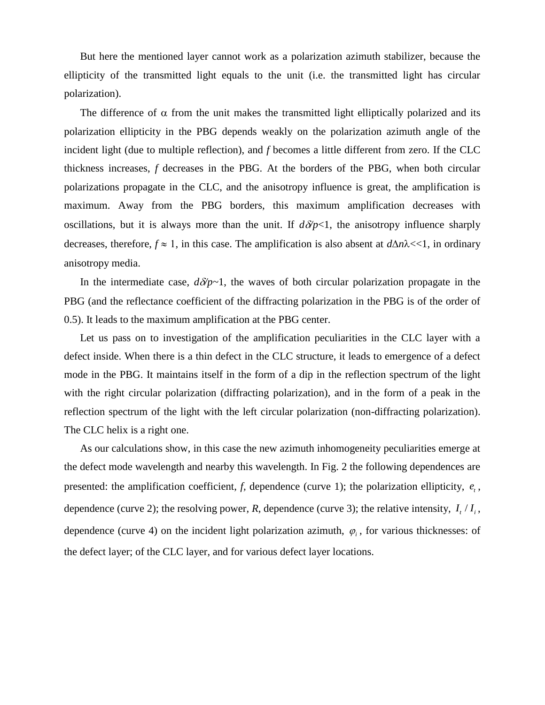But here the mentioned layer cannot work as a polarization azimuth stabilizer, because the ellipticity of the transmitted light equals to the unit (i.e. the transmitted light has circular polarization).

The difference of  $\alpha$  from the unit makes the transmitted light elliptically polarized and its polarization ellipticity in the PBG depends weakly on the polarization azimuth angle of the incident light (due to multiple reflection), and *f* becomes a little different from zero. If the CLC thickness increases, *f* decreases in the PBG. At the borders of the PBG, when both circular polarizations propagate in the CLC, and the anisotropy influence is great, the amplification is maximum. Away from the PBG borders, this maximum amplification decreases with oscillations, but it is always more than the unit. If  $d\delta p<1$ , the anisotropy influence sharply decreases, therefore,  $f \approx 1$ , in this case. The amplification is also absent at  $d\Delta n\lambda \ll 1$ , in ordinary anisotropy media.

In the intermediate case,  $d\delta p-1$ , the waves of both circular polarization propagate in the PBG (and the reflectance coefficient of the diffracting polarization in the PBG is of the order of 0.5). It leads to the maximum amplification at the PBG center.

Let us pass on to investigation of the amplification peculiarities in the CLC layer with a defect inside. When there is a thin defect in the CLC structure, it leads to emergence of a defect mode in the PBG. It maintains itself in the form of a dip in the reflection spectrum of the light with the right circular polarization (diffracting polarization), and in the form of a peak in the reflection spectrum of the light with the left circular polarization (non-diffracting polarization). The CLC helix is a right one.

As our calculations show, in this case the new azimuth inhomogeneity peculiarities emerge at the defect mode wavelength and nearby this wavelength. In Fig. 2 the following dependences are presented: the amplification coefficient,  $f$ , dependence (curve 1); the polarization ellipticity,  $e_t$ , dependence (curve 2); the resolving power, R, dependence (curve 3); the relative intensity,  $I_t / I_i$ , dependence (curve 4) on the incident light polarization azimuth,  $\varphi_i$ , for various thicknesses: of the defect layer; of the CLC layer, and for various defect layer locations.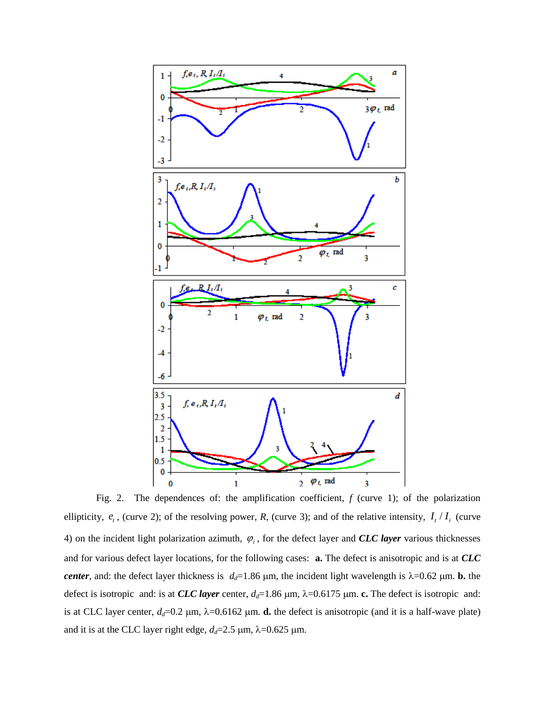

Fig. 2. The dependences of: the amplification coefficient, *f* (curve 1); of the polarization ellipticity,  $e_t$ , (curve 2); of the resolving power, *R*, (curve 3); and of the relative intensity,  $I_t / I_i$  (curve 4) on the incident light polarization azimuth,  $\varphi$ <sub>i</sub>, for the defect layer and *CLC layer* various thicknesses and for various defect layer locations, for the following cases: **a.** The defect is anisotropic and is at *CLC center*, and: the defect layer thickness is  $d_d=1.86 \mu m$ , the incident light wavelength is  $\lambda=0.62 \mu m$ . **b.** the defect is isotropic and: is at *CLC layer* center,  $d_d=1.86 \mu m$ ,  $\lambda=0.6175 \mu m$ . **c.** The defect is isotropic and: is at CLC layer center,  $d_d$ =0.2  $\mu$ m,  $\lambda$ =0.6162  $\mu$ m. **d.** the defect is anisotropic (and it is a half-wave plate) and it is at the CLC layer right edge,  $d_d = 2.5 \, \mu \text{m}$ ,  $\lambda = 0.625 \, \mu \text{m}$ .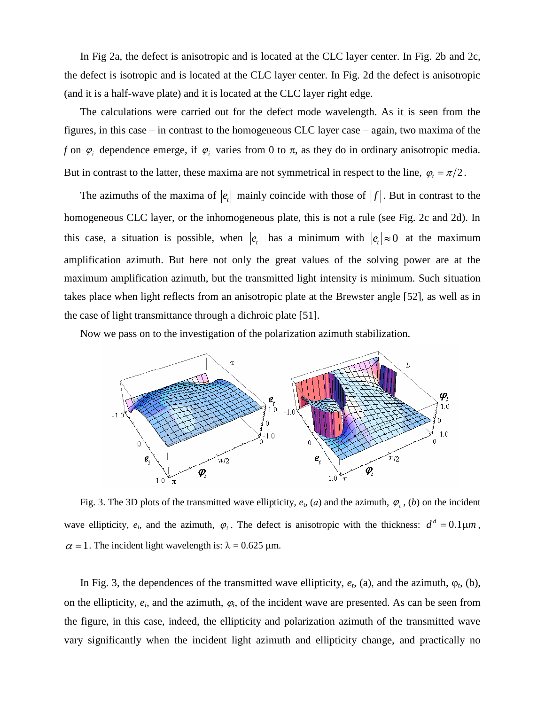In Fig 2a, the defect is anisotropic and is located at the CLC layer center. In Fig. 2b and 2c, the defect is isotropic and is located at the CLC layer center. In Fig. 2d the defect is anisotropic (and it is a half-wave plate) and it is located at the CLC layer right edge.

The calculations were carried out for the defect mode wavelength. As it is seen from the figures, in this case – in contrast to the homogeneous CLC layer case – again, two maxima of the *f* on  $\varphi$  dependence emerge, if  $\varphi$  varies from 0 to  $\pi$ , as they do in ordinary anisotropic media. But in contrast to the latter, these maxima are not symmetrical in respect to the line,  $\varphi_t = \pi/2$ .

The azimuths of the maxima of  $|e_t|$  mainly coincide with those of  $|f|$ . But in contrast to the homogeneous CLC layer, or the inhomogeneous plate, this is not a rule (see Fig. 2c and 2d). In this case, a situation is possible, when  $|e_t|$  has a minimum with  $|e_t| \approx 0$  at the maximum amplification azimuth. But here not only the great values of the solving power are at the maximum amplification azimuth, but the transmitted light intensity is minimum. Such situation takes place when light reflects from an anisotropic plate at the Brewster angle [52], as well as in the case of light transmittance through a dichroic plate [51].

Now we pass on to the investigation of the polarization azimuth stabilization.



Fig. 3. The 3D plots of the transmitted wave ellipticity,  $e_t$ ,  $(a)$  and the azimuth,  $\varphi_t$ ,  $(b)$  on the incident wave ellipticity,  $e_i$ , and the azimuth,  $\varphi_i$ . The defect is anisotropic with the thickness:  $d^d = 0.1 \mu m$ ,  $\alpha = 1$ . The incident light wavelength is:  $\lambda = 0.625$  µm.

In Fig. 3, the dependences of the transmitted wave ellipticity,  $e_t$ , (a), and the azimuth,  $\varphi_t$ , (b), on the ellipticity,  $e_i$ , and the azimuth,  $\varphi_i$ , of the incident wave are presented. As can be seen from the figure, in this case, indeed, the ellipticity and polarization azimuth of the transmitted wave vary significantly when the incident light azimuth and ellipticity change, and practically no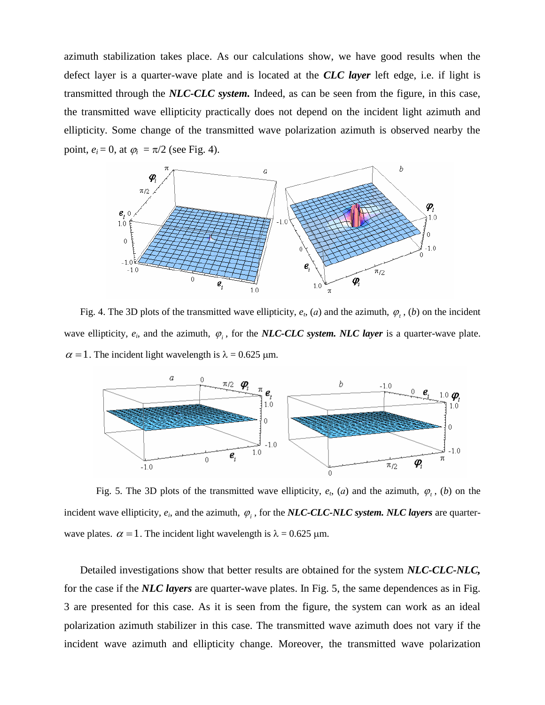azimuth stabilization takes place. As our calculations show, we have good results when the defect layer is a quarter-wave plate and is located at the *CLC layer* left edge, i.e. if light is transmitted through the *NLC-CLC system.* Indeed, аs can be seen from the figure, in this case, the transmitted wave ellipticity practically does not depend on the incident light azimuth and ellipticity. Some change of the transmitted wave polarization azimuth is observed nearby the point,  $e_i = 0$ , at  $\varphi_i = \pi/2$  (see Fig. 4).



Fig. 4. The 3D plots of the transmitted wave ellipticity,  $e_t$ ,  $(a)$  and the azimuth,  $\varphi_t$ ,  $(b)$  on the incident wave ellipticity,  $e_i$ , and the azimuth,  $\varphi_i$ , for the *NLC-CLC system. NLC layer* is a quarter-wave plate.  $\alpha$  = 1. The incident light wavelength is  $\lambda$  = 0.625 µm.



Fig. 5. The 3D plots of the transmitted wave ellipticity,  $e_t$ ,  $(a)$  and the azimuth,  $\varphi_t$ ,  $(b)$  on the incident wave ellipticity,  $e_i$ , and the azimuth,  $\varphi_i$ , for the *NLC-CLC-NLC system. NLC layers* are quarterwave plates.  $\alpha = 1$ . The incident light wavelength is  $\lambda = 0.625$  µm.

Detailed investigations show that better results are obtained for the system *NLC-CLC-NLC,* for the case if the *NLC layers* are quarter-wave plates. In Fig. 5, the same dependences as in Fig. 3 are presented for this case. As it is seen from the figure, the system can work as an ideal polarization azimuth stabilizer in this case. The transmitted wave azimuth does not vary if the incident wave azimuth and ellipticity change. Moreover, the transmitted wave polarization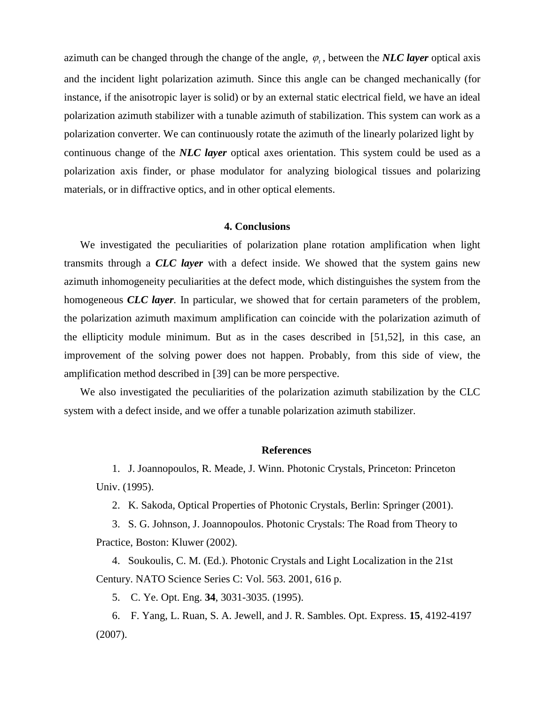azimuth can be changed through the change of the angle,  $\varphi_t$ , between the *NLC layer* optical axis and the incident light polarization azimuth. Since this angle can be changed mechanically (for instance, if the anisotropic layer is solid) or by an external static electrical field, we have an ideal polarization azimuth stabilizer with a tunable azimuth of stabilization. This system can work as a polarization converter. We can continuously rotate the azimuth of the linearly polarized light by continuous change of the *NLC layer* optical axes orientation. This system could be used as a polarization axis finder, or phase modulator for analyzing biological tissues and polarizing materials, or in diffractive optics, and in other optical elements.

# **4. Conclusions**

We investigated the peculiarities of polarization plane rotation amplification when light transmits through a *CLC layer* with a defect inside. We showed that the system gains new azimuth inhomogeneity peculiarities at the defect mode, which distinguishes the system from the homogeneous *CLC layer.* In particular, we showed that for certain parameters of the problem, the polarization azimuth maximum amplification can coincide with the polarization azimuth of the ellipticity module minimum. But as in the cases described in [51,52], in this case, an improvement of the solving power does not happen. Probably, from this side of view, the amplification method described in [39] can be more perspective.

We also investigated the peculiarities of the polarization azimuth stabilization by the CLC system with a defect inside, and we offer a tunable polarization azimuth stabilizer.

### **References**

1. J. Joannopoulos, R. Meade, J. Winn. Photonic Crystals, Princeton: Princeton Univ. (1995).

2. K. Sakoda, Optical Properties of Photonic Crystals, Berlin: Springer (2001).

3. S. G. Johnson, J. Joannopoulos. Photonic Crystals: The Road from Theory to Practice, Boston: Kluwer (2002).

4. Soukoulis, C. M. (Ed.). Photonic Crystals and Light Localization in the 21st Century. [NATO Science Series C: V](http://www.springer.com/series/5658)ol. 563. 2001, 616 p.

5. C. Ye. Opt. Eng. **34**, 3031-3035. (1995).

6. F. Yang, L. Ruan, S. A. Jewell, and J. R. Sambles. Opt. Express. **15**, 4192-4197 (2007).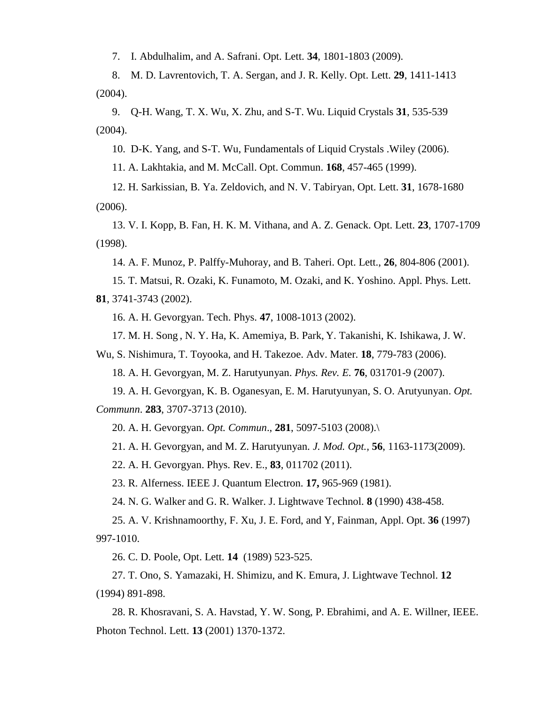7. I. Abdulhalim, and A. Safrani. Opt. Lett. **34**, 1801-1803 (2009).

8. M. D. Lavrentovich, T. A. Sergan, and J. R. Kelly. Opt. Lett. **29**, 1411-1413 (2004).

9. Q-H. Wang, T. X. Wu, X. Zhu, and S-T. Wu. Liquid Crystals **31**, 535-539 (2004).

10. D-K. Yang, and S-T. Wu, Fundamentals of Liquid Crystals .Wiley (2006).

11. A. Lakhtakia, and M. McCall. Opt. Commun. **168**, 457-465 (1999).

12. H. Sarkissian, B. Ya. Zeldovich, and N. V. Tabiryan, Opt. Lett. **31**, 1678-1680 (2006).

13. V. I. Kopp, B. Fan, H. K. M. Vithana, and A. Z. Genack. Opt. Lett. **23**, 1707-1709 (1998).

14. A. F. Munoz, P. Palffy-Muhoray, and B. Taheri. Opt. Lett., **26**, 804-806 (2001).

15. T. Matsui, R. Ozaki, K. Funamoto, M. Ozaki, and K. Yoshino. Appl. Phys. Lett. **81**, 3741-3743 (2002).

16. A. H. Gevorgyan. Tech. Phys. **47**, 1008-1013 (2002).

17. M. H. Song , N. Y. Ha, K. Amemiya, B. Park, Y. Takanishi, K. Ishikawa, J. W.

Wu, S. Nishimura, T. Toyooka, and H. Takezoe. Adv. Mater. **18**, 779-783 (2006).

18. A. H. Gevorgyan, M. Z. Harutyunyan. *Phys. Rev. E.* **76**, 031701-9 (2007).

19. A. H. Gevorgyan, K. B. Oganesyan, E. M. Harutyunyan, S. O. Arutyunyan. *Opt. Communn*. **283**, 3707-3713 (2010).

20. A. [H. Gevorgyan.](http://www.springerlink.com/content/?Author=A.+H.+Gevorgyan) *Opt. Commun*., **281**, 5097-5103 (2008).\

21. A. H. Gevorgyan, and M. Z. Harutyunyan. *J. Mod. Opt.,* **56**, 1163-1173(2009).

22. A. H. Gevorgyan. Phys. Rev. E., **83**, 011702 (2011).

23. R. Alferness. IEEE J. Quantum Electron. **17,** 965-969 (1981).

24. N. G. Walker and G. R. Walker. J. Lightwave Technol. **8** (1990) 438-458.

25. A. V. Krishnamoorthy, F. Xu, J. E. Ford, and Y, Fainman, Appl. Opt. **36** (1997) 997-1010.

26. C. D. Poole, Opt. Lett. **14** (1989) 523-525.

27. T. Ono, S. Yamazaki, H. Shimizu, and K. Emura, J. Lightwave Technol. **12** (1994) 891-898.

28. R. Khosravani, S. A. Havstad, Y. W. Song, P. Ebrahimi, and A. E. Willner, IEEE. Photon Technol. Lett. **13** (2001) 1370-1372.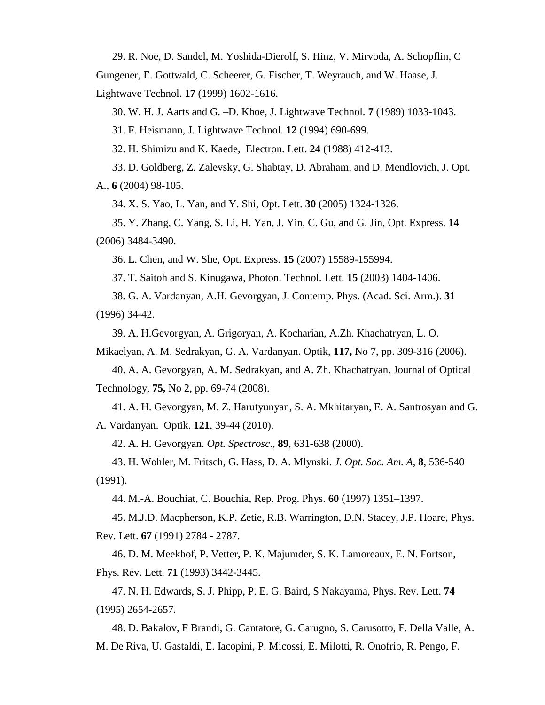29. R. Noe, D. Sandel, M. Yoshida-Dierolf, S. Hinz, V. Mirvoda, A. Schopflin, C

Gungener, E. Gottwald, C. Scheerer, G. Fischer, T. Weyrauch, and W. Haase, J.

Lightwave Technol. **17** (1999) 1602-1616.

30. W. H. J. Aarts and G. –D. Khoe, J. Lightwave Technol. **7** (1989) 1033-1043.

31. F. Heismann, J. Lightwave Technol. **12** (1994) 690-699.

32. H. Shimizu and K. Kaede, Electron. Lett. **24** (1988) 412-413.

33. D. Goldberg, Z. Zalevsky, G. Shabtay, D. Abraham, and D. Mendlovich, J. Opt. A., **6** (2004) 98-105.

34. X. S. Yao, L. Yan, and Y. Shi, Opt. Lett. **30** (2005) 1324-1326.

35. Y. Zhang, C. Yang, S. Li, H. Yan, J. Yin, C. Gu, and G. Jin, Opt. Express. **14**  (2006) 3484-3490.

36. L. Chen, and W. She, Opt. Express. **15** (2007) 15589-155994.

37. T. Saitoh and S. Kinugawa, Photon. Technol. Lett. **15** (2003) 1404-1406.

38. G. A. Vardanyan, A.H. Gevorgyan, J. Contemp. Phys. (Acad. Sci. Arm.). **31** (1996) 34-42.

39. A. H.Gevorgyan, A. Grigoryan, A. Kocharian, A.Zh. Khachatryan, L. O.

Mikaelyan, A. M. Sedrakyan, G. A. Vardanyan. Optik, **117,** No 7, pp. 309-316 (2006).

40. [A. A. Gevorgyan,](javascript:searchAuthor() [A. M. Sedrakyan,](javascript:searchAuthor() and [A. Zh. Khachatryan.](javascript:searchAuthor() Journal of Optical Technology, **75,** No 2, pp. 69-74 (2008).

41. A. H. Gevorgyan, M. Z. Harutyunyan, S. A. Mkhitaryan, E. A. Santrosyan and G. A. Vardanyan. Optik. **121**, 39-44 (2010).

42. A. H. Gevorgyan. *Opt. Spectrosc*., **89**, 631-638 (2000).

43. H. Wohler, M. Fritsch, G. Hass, D. A. Mlynski. *J. Opt. Soc. Am. A*, **8**, 536-540 (1991).

44. M.-A. Bouchiat, C. Bouchia, Rep. Prog. Phys. **60** (1997) 1351–1397.

45. M.J.D. Macpherson, K.P. Zetie, R.B. Warrington, D.N. Stacey, J.P. Hoare, Phys. Rev. Lett. **67** (1991) 2784 - 2787.

46. D. M. Meekhof, P. Vetter, P. K. Majumder, S. K. Lamoreaux, E. N. Fortson, Phys. Rev. Lett. **71** (1993) 3442-3445.

47. N. H. Edwards, S. J. Phipp, P. E. G. Baird, S Nakayama, Phys. Rev. Lett. **74** (1995) 2654-2657.

48. [D. Bakalov,](http://www.iop.org/EJ/search_author?query2=D%20Bakalov&searchfield2=authors&journaltype=all&datetype=all&sort=date_cover&submit=1) [F Brandi,](http://www.iop.org/EJ/search_author?query2=F%20Brandi&searchfield2=authors&journaltype=all&datetype=all&sort=date_cover&submit=1) [G. Cantatore,](http://www.iop.org/EJ/search_author?query2=G%20Cantatore&searchfield2=authors&journaltype=all&datetype=all&sort=date_cover&submit=1) [G. Carugno,](http://www.iop.org/EJ/search_author?query2=G%20Carugno&searchfield2=authors&journaltype=all&datetype=all&sort=date_cover&submit=1) [S. Carusotto,](http://www.iop.org/EJ/search_author?query2=S%20Carusotto&searchfield2=authors&journaltype=all&datetype=all&sort=date_cover&submit=1) [F. Della Valle,](http://www.iop.org/EJ/search_author?query2=F%20Della%20Valle&searchfield2=authors&journaltype=all&datetype=all&sort=date_cover&submit=1) [A.](http://www.iop.org/EJ/search_author?query2=A%20M%20De%20Riva&searchfield2=authors&journaltype=all&datetype=all&sort=date_cover&submit=1)  [M. De Riva,](http://www.iop.org/EJ/search_author?query2=A%20M%20De%20Riva&searchfield2=authors&journaltype=all&datetype=all&sort=date_cover&submit=1) [U. Gastaldi,](http://www.iop.org/EJ/search_author?query2=U%20Gastaldi&searchfield2=authors&journaltype=all&datetype=all&sort=date_cover&submit=1) [E. Iacopini,](http://www.iop.org/EJ/search_author?query2=E%20Iacopini&searchfield2=authors&journaltype=all&datetype=all&sort=date_cover&submit=1) [P. Micossi,](http://www.iop.org/EJ/search_author?query2=P%20Micossi&searchfield2=authors&journaltype=all&datetype=all&sort=date_cover&submit=1) [E. Milotti,](http://www.iop.org/EJ/search_author?query2=E%20Milotti&searchfield2=authors&journaltype=all&datetype=all&sort=date_cover&submit=1) [R. Onofrio,](http://www.iop.org/EJ/search_author?query2=R%20Onofrio&searchfield2=authors&journaltype=all&datetype=all&sort=date_cover&submit=1) [R. Pengo,](http://www.iop.org/EJ/search_author?query2=R%20Pengo&searchfield2=authors&journaltype=all&datetype=all&sort=date_cover&submit=1) [F.](http://www.iop.org/EJ/search_author?query2=F%20Perrone&searchfield2=authors&journaltype=all&datetype=all&sort=date_cover&submit=1)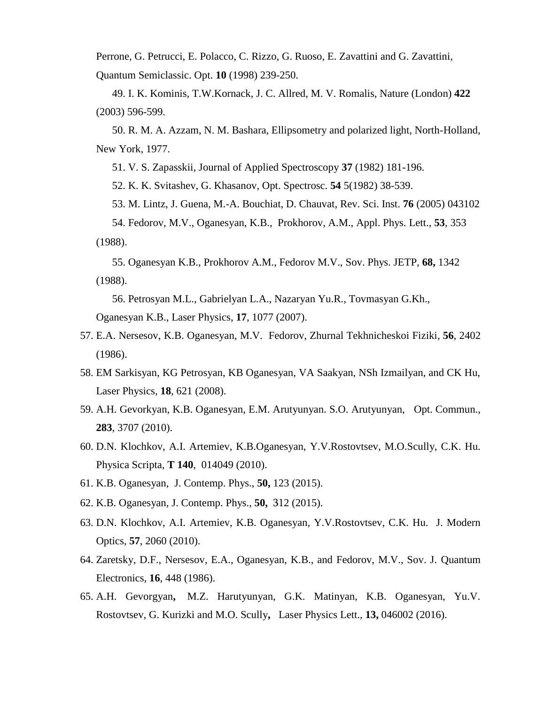Perrone, [G. Petrucci,](http://www.iop.org/EJ/search_author?query2=G%20Petrucci&searchfield2=authors&journaltype=all&datetype=all&sort=date_cover&submit=1) [E. Polacco,](http://www.iop.org/EJ/search_author?query2=E%20Polacco&searchfield2=authors&journaltype=all&datetype=all&sort=date_cover&submit=1) [C. Rizzo,](http://www.iop.org/EJ/search_author?query2=C%20Rizzo&searchfield2=authors&journaltype=all&datetype=all&sort=date_cover&submit=1) [G. Ruoso,](http://www.iop.org/EJ/search_author?query2=G%20Ruoso&searchfield2=authors&journaltype=all&datetype=all&sort=date_cover&submit=1) [E. Zavattini](http://www.iop.org/EJ/search_author?query2=E%20Zavattini&searchfield2=authors&journaltype=all&datetype=all&sort=date_cover&submit=1) and [G. Zavattini,](http://www.iop.org/EJ/search_author?query2=G%20Zavattini&searchfield2=authors&journaltype=all&datetype=all&sort=date_cover&submit=1) Quantum Semiclassic. Opt. **10** (1998) 239-250.

49. I. K. Kominis, T.W.Kornack, J. C. Allred, M. V. Romalis, Nature (London) **422** (2003) 596-599.

50. R. M. A. Azzam, N. M. Bashara, Ellipsometry and polarized light, North-Holland, New York, 1977.

51. V. S. Zapasskii, Journal of Applied Spectroscopy **37** (1982) 181-196.

52. K. K. Svitashev, G. Khasanov, Opt. Spectrosc. **54** 5(1982) 38-539.

53. M. Lintz, J. Guena, M.-A. Bouchiat, D. Chauvat, Rev. Sci. Inst. **76** (2005) 043102

54. Fedorov, M.V., Oganesyan, K.B., Prokhorov, A.M., Appl. Phys. Lett., **53**, 353 (1988).

55. Oganesyan K.B., Prokhorov A.M., Fedorov M.V., Sov. Phys. JETP, **68,** 1342 (1988).

56. Petrosyan M.L., Gabrielyan L.A., Nazaryan Yu.R., Tovmasyan G.Kh.,

Oganesyan K.B., Laser Physics, **17**, 1077 (2007).

- 57. E.A. Nersesov, K.B. Oganesyan, M.V. Fedorov, Zhurnal Tekhnicheskoi Fiziki, **56**, 2402 (1986).
- 58. EM Sarkisyan, KG Petrosyan, KB Oganesyan, VA Saakyan, NSh Izmailyan, and CK Hu, Laser Physics, **18**, 621 (2008).
- 59. A.H. Gevorkyan, K.B. Oganesyan, E.M. Arutyunyan. S.O. Arutyunyan, Opt. Commun., **283**, 3707 (2010).
- 60. D.N. Klochkov, A.I. Artemiev, K.B.Oganesyan, Y.V.Rostovtsev, M.O.Scully, C.K. Hu. Physica Scripta, **T 140**, 014049 (2010).
- 61. K.B. Oganesyan, J. Contemp. Phys., **50,** 123 (2015).
- 62. K.B. Oganesyan, J. Contemp. Phys., **50,** 312 (2015).
- 63. D.N. Klochkov, A.I. Artemiev, K.B. Oganesyan, Y.V.Rostovtsev, C.K. Hu. J. Modern Optics, **57**, 2060 (2010).
- 64. Zaretsky, D.F., Nersesov, E.A., Oganesyan, K.B., and Fedorov, M.V., Sov. J. Quantum Electronics, **16**, 448 (1986).
- 65. A.H. Gevorgyan**,** M.Z. Harutyunyan, G.K. Matinyan, K.B. Oganesyan, Yu.V. Rostovtsev, G. Kurizki and M.O. Scully**,** Laser Physics Lett., **13,** 046002 (2016).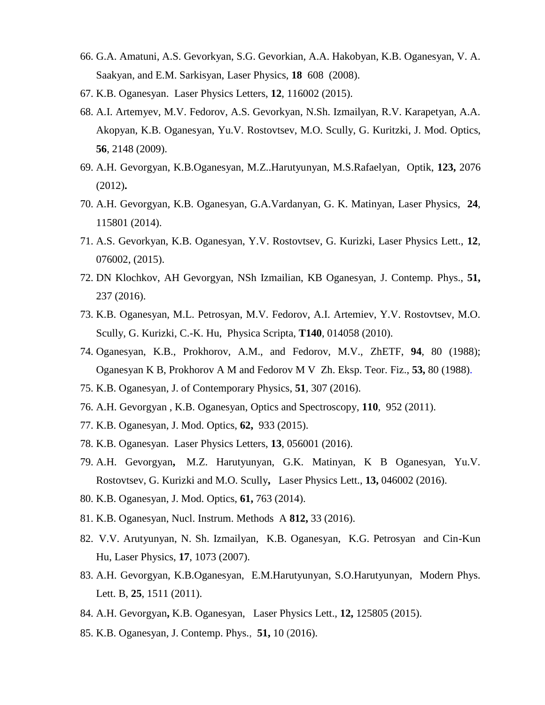- 66. G.A. Amatuni, A.S. Gevorkyan, S.G. Gevorkian, A.A. Hakobyan, K.B. Oganesyan, V. A. Saakyan, and E.M. Sarkisyan, Laser Physics, **18** 608 (2008).
- 67. K.B. Oganesyan. Laser Physics Letters, **12**, 116002 (2015).
- 68. A.I. Artemyev, M.V. Fedorov, A.S. Gevorkyan, N.Sh. Izmailyan, R.V. Karapetyan, A.A. Akopyan, K.B. Oganesyan, Yu.V. Rostovtsev, M.O. Scully, G. Kuritzki, J. Mod. Optics, **56**, 2148 (2009).
- 69. A.H. Gevorgyan, K.B.Oganesyan, M.Z..Harutyunyan, M.S.Rafaelyan*,* Optik, **123,** 2076 (2012)**.**
- 70. A.H. Gevorgyan, K.B. Oganesyan, G.A.Vardanyan, G. K. Matinyan, Laser Physics, **24**, 115801 (2014).
- 71. A.S. Gevorkyan, K.B. Oganesyan, Y.V. Rostovtsev, G. Kurizki, Laser Physics Lett., **12**, 076002, (2015).
- 72. DN Klochkov, AH Gevorgyan, NSh Izmailian, KB Oganesyan, J. Contemp. Phys., **51,**  237 (2016).
- 73. K.B. Oganesyan, M.L. Petrosyan, M.V. Fedorov, A.I. Artemiev, Y.V. Rostovtsev, M.O. Scully, G. Kurizki, C.-K. Hu, Physica Scripta, **T140**, 014058 (2010).
- 74. Oganesyan, K.B., Prokhorov, A.M., and Fedorov, M.V., ZhETF, **94**, 80 (1988); Oganesyan K B, Prokhorov A M and Fedorov M V Zh. Eksp. Teor. Fiz., **53,** 80 (1988).
- 75. K.B. Oganesyan, J. of Contemporary Physics, **51**, 307 (2016).
- 76. A.H. Gevorgyan , K.B. Oganesyan, Optics and Spectroscopy, **110**, 952 (2011).
- 77. K.B. Oganesyan, J. Mod. Optics, **62,** 933 (2015).
- 78. K.B. Oganesyan. Laser Physics Letters, **13**, 056001 (2016).
- 79. A.H. Gevorgyan**,** M.Z. Harutyunyan, G.K. Matinyan, K B Oganesyan, Yu.V. Rostovtsev, G. Kurizki and M.O. Scully**,** Laser Physics Lett., **13,** 046002 (2016).
- 80. K.B. Oganesyan, J. Mod. Optics, **61,** 763 (2014).
- 81. K.B. Oganesyan, Nucl. Instrum. Methods A **812,** 33 (2016).
- 82. V.V. Arutyunyan, N. Sh. Izmailyan, K.B. Oganesyan, K.G. Petrosyan and Cin-Kun Hu, Laser Physics, **17**, 1073 (2007).
- 83. A.H. Gevorgyan, K.B.Oganesyan, E.M.Harutyunyan, S.O.Harutyunyan, Modern Phys. Lett. B, **25**, 1511 (2011).
- 84. A.H. Gevorgyan**,** K.B. Oganesyan, Laser Physics Lett., **12,** 125805 (2015).
- 85. K.B. Oganesyan, J. Contemp. Phys., **51,** 10 (2016).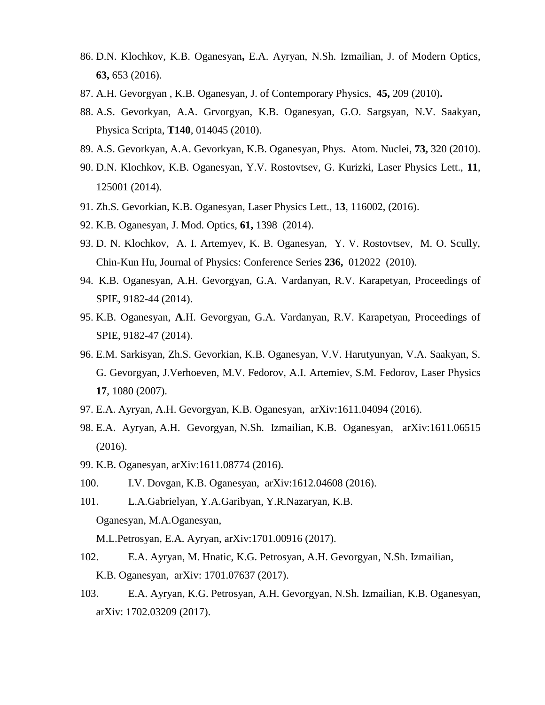- 86. D.N. Klochkov, K.B. Oganesyan**,** E.A. Ayryan, N.Sh. Izmailian, J. of Modern Optics, **63,** 653 (2016).
- 87. A.H. Gevorgyan , K.B. Oganesyan, J. of Contemporary Physics, **45,** 209 (2010)**.**
- 88. A.S. Gevorkyan, A.A. Grvorgyan, K.B. Oganesyan, G.O. Sargsyan, N.V. Saakyan, Physica Scripta, **T140**, 014045 (2010).
- 89. A.S. Gevorkyan, A.A. Gevorkyan, K.B. Oganesyan, Phys. Atom. Nuclei, **73,** 320 (2010).
- 90. D.N. Klochkov, K.B. Oganesyan, Y.V. Rostovtsev, G. Kurizki, Laser Physics Lett., **11**, 125001 (2014).
- 91. Zh.S. Gevorkian, K.B. Oganesyan, Laser Physics Lett., **13**, 116002, (2016).
- 92. K.B. Oganesyan, J. Mod. Optics, **61,** 1398 (2014).
- 93. D. N. Klochkov, A. I. Artemyev, K. B. Oganesyan, Y. V. Rostovtsev, M. O. Scully, Chin-Kun Hu, Journal of Physics: Conference Series **236,** 012022 (2010).
- 94. K.B. Oganesyan, A.H. Gevorgyan, G.A. Vardanyan, R.V. Karapetyan, Proceedings of SPIE, 9182-44 (2014).
- 95. K.B. Oganesyan, **A**.H. Gevorgyan, G.A. Vardanyan, R.V. Karapetyan, Proceedings of SPIE, 9182-47 (2014).
- 96. E.M. Sarkisyan, Zh.S. Gevorkian, K.B. Oganesyan, V.V. Harutyunyan, V.A. Saakyan, S. G. Gevorgyan, J.Verhoeven, M.V. Fedorov, A.I. Artemiev, S.M. Fedorov, Laser Physics **17**, 1080 (2007).
- 97. [E.A. Ayryan,](http://lanl.arxiv.org/find/physics/1/au:+Ayryan_E/0/1/0/all/0/1) [A.H. Gevorgyan,](http://lanl.arxiv.org/find/physics/1/au:+Gevorgyan_A/0/1/0/all/0/1) [K.B. Oganesyan,](http://lanl.arxiv.org/find/physics/1/au:+Oganesyan_K/0/1/0/all/0/1) [arXiv:1611.04094](http://lanl.arxiv.org/abs/1611.04094) (2016).
- 98. [E.A. Ayryan,](http://lanl.arxiv.org/find/physics/1/au:+Ayryan_E/0/1/0/all/0/1) [A.H. Gevorgyan,](http://lanl.arxiv.org/find/physics/1/au:+Gevorgyan_A/0/1/0/all/0/1) [N.Sh. Izmailian,](http://lanl.arxiv.org/find/physics/1/au:+Izmailian_N/0/1/0/all/0/1) [K.B. Oganesyan,](http://lanl.arxiv.org/find/physics/1/au:+Oganesyan_K/0/1/0/all/0/1) [arXiv:1611.06515](http://lanl.arxiv.org/abs/1611.06515) (2016).
- 99. [K.B. Oganesyan,](http://lanl.arxiv.org/find/physics/1/au:+Oganesyan_K/0/1/0/all/0/1) [arXiv:1611.08774](http://lanl.arxiv.org/abs/1611.08774) (2016).
- 100. [I.V. Dovgan,](http://lanl.arxiv.org/find/physics/1/au:+Dovgan_I/0/1/0/all/0/1) [K.B. Oganesyan,](http://lanl.arxiv.org/find/physics/1/au:+Oganesyan_K/0/1/0/all/0/1) [arXiv:1612.04608](http://lanl.arxiv.org/abs/1612.04608) (2016).
- 101. [L.A.Gabrielyan,](http://lanl.arxiv.org/find/physics/1/au:+Gabrielyan_L/0/1/0/all/0/1) [Y.A.Garibyan,](http://lanl.arxiv.org/find/physics/1/au:+Garibyan_Y/0/1/0/all/0/1) [Y.R.Nazaryan,](http://lanl.arxiv.org/find/physics/1/au:+Nazaryan_Y/0/1/0/all/0/1) [K.B.](http://lanl.arxiv.org/find/physics/1/au:+Oganesyan_K/0/1/0/all/0/1)  [Oganesyan,](http://lanl.arxiv.org/find/physics/1/au:+Oganesyan_K/0/1/0/all/0/1) [M.A.Oganesyan,](http://lanl.arxiv.org/find/physics/1/au:+Oganesyan_M/0/1/0/all/0/1)

[M.L.Petrosyan,](http://lanl.arxiv.org/find/physics/1/au:+Petrosyan_M/0/1/0/all/0/1) [E.A. Ayryan,](http://lanl.arxiv.org/find/physics/1/au:+Ayryan_E/0/1/0/all/0/1) [arXiv:1701.00916](http://lanl.arxiv.org/abs/1701.00916) (2017).

- 102. [E.A. Ayryan,](http://lanl.arxiv.org/find/physics/1/au:+Ayryan_E/0/1/0/all/0/1) [M. Hnatic,](http://lanl.arxiv.org/find/physics/1/au:+Hnatic_M/0/1/0/all/0/1) [K.G. Petrosyan,](http://lanl.arxiv.org/find/physics/1/au:+Petrosyan_K/0/1/0/all/0/1) [A.H. Gevorgyan,](http://lanl.arxiv.org/find/physics/1/au:+Gevorgyan_A/0/1/0/all/0/1) [N.Sh. Izmailian,](http://lanl.arxiv.org/find/physics/1/au:+Izmailian_N/0/1/0/all/0/1) [K.B. Oganesyan,](http://lanl.arxiv.org/find/physics/1/au:+Oganesyan_K/0/1/0/all/0/1) [arXiv: 1701.07637](http://lanl.arxiv.org/abs/1701.07637) (2017).
- 103. [E.A. Ayryan,](http://lanl.arxiv.org/find/quant-ph/1/au:+Ayryan_E/0/1/0/all/0/1) [K.G. Petrosyan,](http://lanl.arxiv.org/find/quant-ph/1/au:+Petrosyan_K/0/1/0/all/0/1) [A.H. Gevorgyan,](http://lanl.arxiv.org/find/quant-ph/1/au:+Gevorgyan_A/0/1/0/all/0/1) [N.Sh. Izmailian,](http://lanl.arxiv.org/find/quant-ph/1/au:+Izmailian_N/0/1/0/all/0/1) [K.B. Oganesyan,](http://lanl.arxiv.org/find/quant-ph/1/au:+Oganesyan_K/0/1/0/all/0/1) [arXiv: 1702.03209](http://lanl.arxiv.org/abs/1702.03209) (2017).